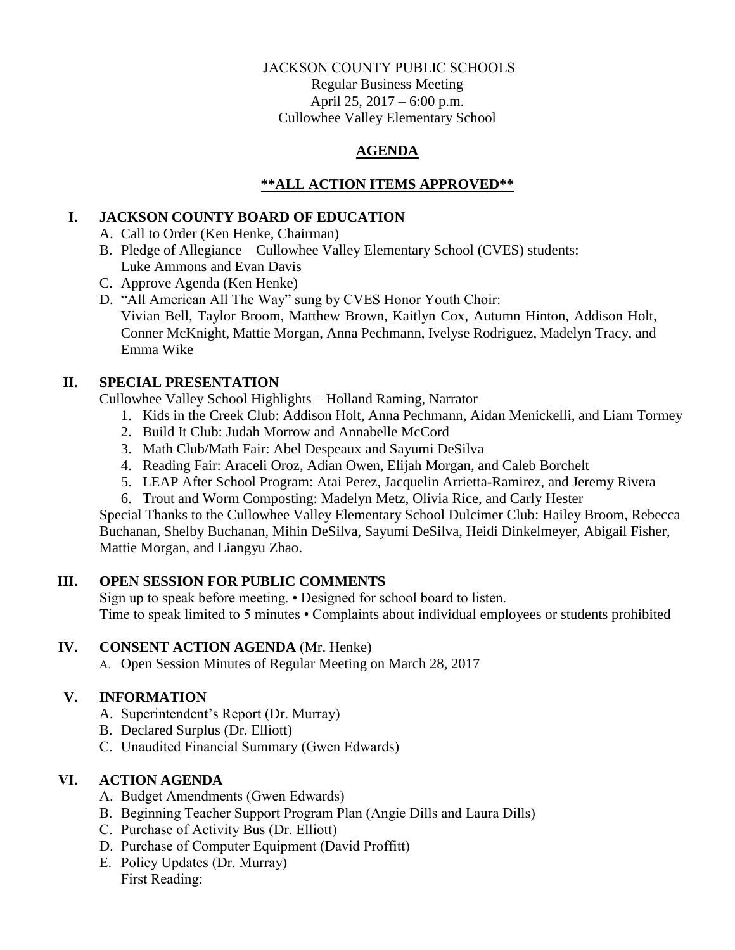#### JACKSON COUNTY PUBLIC SCHOOLS Regular Business Meeting

April 25, 2017 – 6:00 p.m. Cullowhee Valley Elementary School

# **AGENDA**

## **\*\*ALL ACTION ITEMS APPROVED\*\***

#### **I. JACKSON COUNTY BOARD OF EDUCATION**

A. Call to Order (Ken Henke, Chairman)

- B. Pledge of Allegiance Cullowhee Valley Elementary School (CVES) students: Luke Ammons and Evan Davis
- C. Approve Agenda (Ken Henke)
- D. "All American All The Way" sung by CVES Honor Youth Choir: Vivian Bell, Taylor Broom, Matthew Brown, Kaitlyn Cox, Autumn Hinton, Addison Holt, Conner McKnight, Mattie Morgan, Anna Pechmann, Ivelyse Rodriguez, Madelyn Tracy, and Emma Wike

### **II. SPECIAL PRESENTATION**

Cullowhee Valley School Highlights – Holland Raming, Narrator

- 1. Kids in the Creek Club: Addison Holt, Anna Pechmann, Aidan Menickelli, and Liam Tormey
- 2. Build It Club: Judah Morrow and Annabelle McCord
- 3. Math Club/Math Fair: Abel Despeaux and Sayumi DeSilva
- 4. Reading Fair: Araceli Oroz, Adian Owen, Elijah Morgan, and Caleb Borchelt
- 5. LEAP After School Program: Atai Perez, Jacquelin Arrietta-Ramirez, and Jeremy Rivera
- 6. Trout and Worm Composting: Madelyn Metz, Olivia Rice, and Carly Hester

Special Thanks to the Cullowhee Valley Elementary School Dulcimer Club: Hailey Broom, Rebecca Buchanan, Shelby Buchanan, Mihin DeSilva, Sayumi DeSilva, Heidi Dinkelmeyer, Abigail Fisher, Mattie Morgan, and Liangyu Zhao.

### **III. OPEN SESSION FOR PUBLIC COMMENTS**

Sign up to speak before meeting. • Designed for school board to listen. Time to speak limited to 5 minutes • Complaints about individual employees or students prohibited

### **IV. CONSENT ACTION AGENDA** (Mr. Henke)

A. Open Session Minutes of Regular Meeting on March 28, 2017

### **V. INFORMATION**

- A. Superintendent's Report (Dr. Murray)
- B. Declared Surplus (Dr. Elliott)
- C. Unaudited Financial Summary (Gwen Edwards)

### **VI. ACTION AGENDA**

- A. Budget Amendments (Gwen Edwards)
- B. Beginning Teacher Support Program Plan (Angie Dills and Laura Dills)
- C. Purchase of Activity Bus (Dr. Elliott)
- D. Purchase of Computer Equipment (David Proffitt)
- E. Policy Updates (Dr. Murray) First Reading: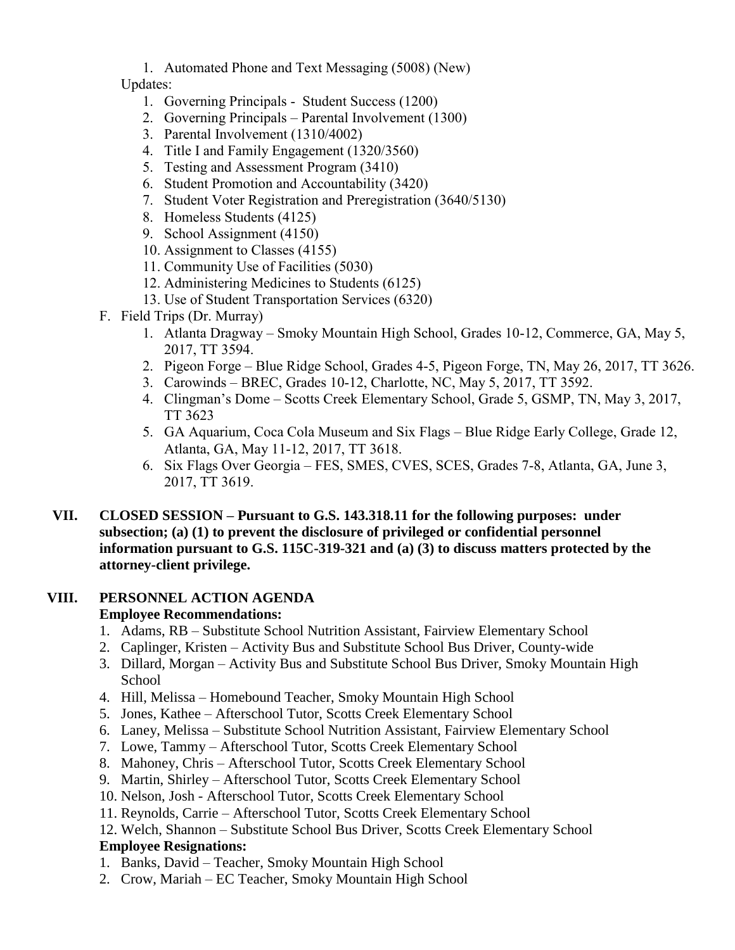1. Automated Phone and Text Messaging (5008) (New)

Updates:

- 1. Governing Principals Student Success (1200)
- 2. Governing Principals Parental Involvement (1300)
- 3. Parental Involvement (1310/4002)
- 4. Title I and Family Engagement (1320/3560)
- 5. Testing and Assessment Program (3410)
- 6. Student Promotion and Accountability (3420)
- 7. Student Voter Registration and Preregistration (3640/5130)
- 8. Homeless Students (4125)
- 9. School Assignment (4150)
- 10. Assignment to Classes (4155)
- 11. Community Use of Facilities (5030)
- 12. Administering Medicines to Students (6125)
- 13. Use of Student Transportation Services (6320)
- F. Field Trips (Dr. Murray)
	- 1. Atlanta Dragway Smoky Mountain High School, Grades 10-12, Commerce, GA, May 5, 2017, TT 3594.
	- 2. Pigeon Forge Blue Ridge School, Grades 4-5, Pigeon Forge, TN, May 26, 2017, TT 3626.
	- 3. Carowinds BREC, Grades 10-12, Charlotte, NC, May 5, 2017, TT 3592.
	- 4. Clingman's Dome Scotts Creek Elementary School, Grade 5, GSMP, TN, May 3, 2017, TT 3623
	- 5. GA Aquarium, Coca Cola Museum and Six Flags Blue Ridge Early College, Grade 12, Atlanta, GA, May 11-12, 2017, TT 3618.
	- 6. Six Flags Over Georgia FES, SMES, CVES, SCES, Grades 7-8, Atlanta, GA, June 3, 2017, TT 3619.
- **VII. CLOSED SESSION – Pursuant to G.S. 143.318.11 for the following purposes: under subsection; (a) (1) to prevent the disclosure of privileged or confidential personnel information pursuant to G.S. 115C-319-321 and (a) (3) to discuss matters protected by the attorney-client privilege.**

# **VIII. PERSONNEL ACTION AGENDA**

### **Employee Recommendations:**

- 1. Adams, RB Substitute School Nutrition Assistant, Fairview Elementary School
- 2. Caplinger, Kristen Activity Bus and Substitute School Bus Driver, County-wide
- 3. Dillard, Morgan Activity Bus and Substitute School Bus Driver, Smoky Mountain High School
- 4. Hill, Melissa Homebound Teacher, Smoky Mountain High School
- 5. Jones, Kathee Afterschool Tutor, Scotts Creek Elementary School
- 6. Laney, Melissa Substitute School Nutrition Assistant, Fairview Elementary School
- 7. Lowe, Tammy Afterschool Tutor, Scotts Creek Elementary School
- 8. Mahoney, Chris Afterschool Tutor, Scotts Creek Elementary School
- 9. Martin, Shirley Afterschool Tutor, Scotts Creek Elementary School
- 10. Nelson, Josh Afterschool Tutor, Scotts Creek Elementary School
- 11. Reynolds, Carrie Afterschool Tutor, Scotts Creek Elementary School
- 12. Welch, Shannon Substitute School Bus Driver, Scotts Creek Elementary School

### **Employee Resignations:**

- 1. Banks, David Teacher, Smoky Mountain High School
- 2. Crow, Mariah EC Teacher, Smoky Mountain High School